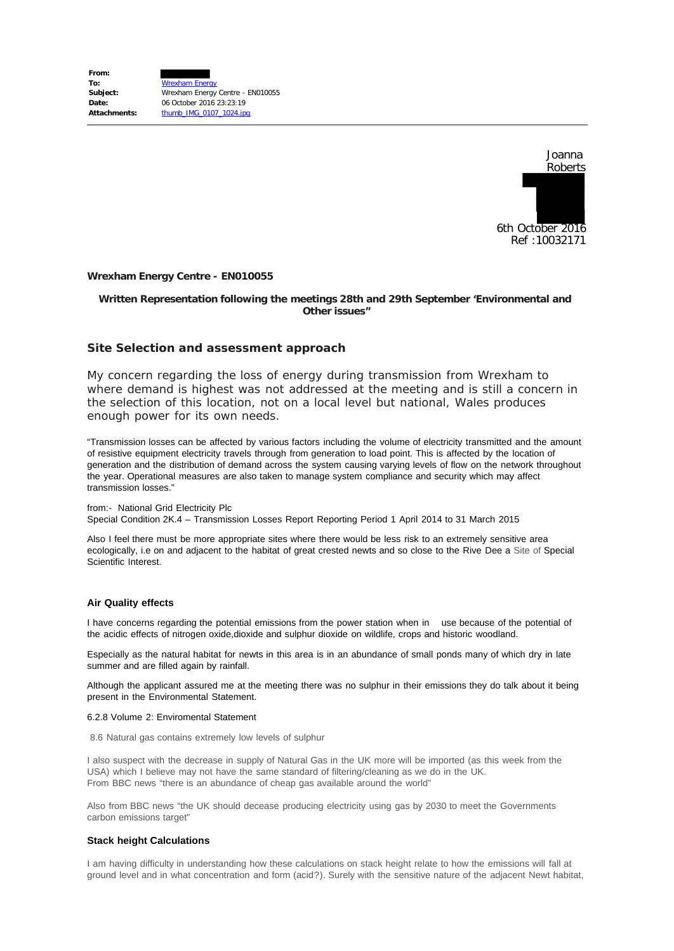

## **Wrexham Energy Centre - EN010055**

# **Written Representation following the meetings 28th and 29th September 'Environmental and Other issues"**

# **Site Selection and assessment approach**

My concern regarding the loss of energy during transmission from Wrexham to where demand is highest was not addressed at the meeting and is still a concern in the selection of this location, not on a local level but national, Wales produces enough power for its own needs.

"Transmission losses can be affected by various factors including the volume of electricity transmitted and the amount of resistive equipment electricity travels through from generation to load point. This is affected by the location of generation and the distribution of demand across the system causing varying levels of flow on the network throughout the year. Operational measures are also taken to manage system compliance and security which may affect transmission losses."

from:- National Grid Electricity Plc Special Condition 2K.4 – Transmission Losses Report Reporting Period 1 April 2014 to 31 March 2015

Also I feel there must be more appropriate sites where there would be less risk to an extremely sensitive area ecologically, i.e on and adjacent to the habitat of great crested newts and so close to the Rive Dee a Site of Special Scientific Interest.

#### **Air Quality effects**

I have concerns regarding the potential emissions from the power station when in use because of the potential of the acidic effects of nitrogen oxide,dioxide and sulphur dioxide on wildlife, crops and historic woodland.

Especially as the natural habitat for newts in this area is in an abundance of small ponds many of which dry in late summer and are filled again by rainfall.

Although the applicant assured me at the meeting there was no sulphur in their emissions they do talk about it being present in the Environmental Statement.

### 6.2.8 Volume 2: Enviromental Statement

8.6 Natural gas contains extremely low levels of sulphur

I also suspect with the decrease in supply of Natural Gas in the UK more will be imported (as this week from the USA) which I believe may not have the same standard of filtering/cleaning as we do in the UK. From BBC news "there is an abundance of cheap gas available around the world"

Also from BBC news "the UK should decease producing electricity using gas by 2030 to meet the Governments carbon emissions target"

#### **Stack height Calculations**

I am having difficulty in understanding how these calculations on stack height relate to how the emissions will fall at ground level and in what concentration and form (acid?). Surely with the sensitive nature of the adjacent Newt habitat,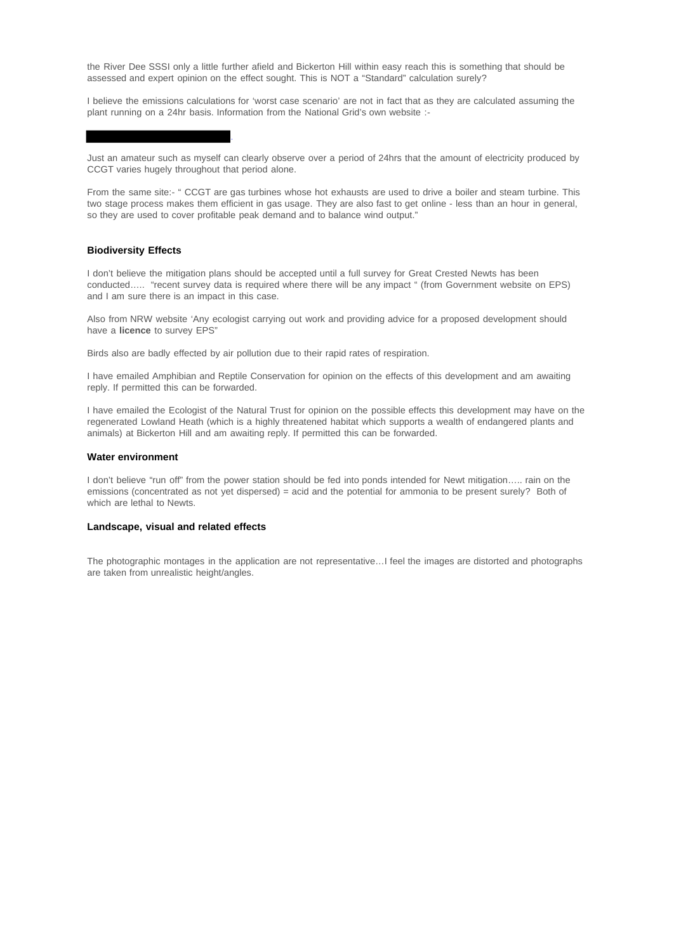the River Dee SSSI only a little further afield and Bickerton Hill within easy reach this is something that should be assessed and expert opinion on the effect sought. This is NOT a "Standard" calculation surely?

I believe the emissions calculations for 'worst case scenario' are not in fact that as they are calculated assuming the plant running on a 24hr basis. Information from the National Grid's own website :-

Just an amateur such as myself can clearly observe over a period of 24hrs that the amount of electricity produced by CCGT varies hugely throughout that period alone.

From the same site:- " CCGT are gas turbines whose hot exhausts are used to drive a boiler and steam turbine. This two stage process makes them efficient in gas usage. They are also fast to get online - less than an hour in general, so they are used to cover profitable peak demand and to balance wind output."

# **Biodiversity Effects**

I don't believe the mitigation plans should be accepted until a full survey for Great Crested Newts has been conducted..... "recent survey data is required where there will be any impact " (from Government website on EPS) and I am sure there is an impact in this case.

Also from NRW website 'Any ecologist carrying out work and providing advice for a proposed development should have a **licence** to survey EPS"

Birds also are badly effected by air pollution due to their rapid rates of respiration.

I have emailed Amphibian and Reptile Conservation for opinion on the effects of this development and am awaiting reply. If permitted this can be forwarded.

I have emailed the Ecologist of the Natural Trust for opinion on the possible effects this development may have on the regenerated Lowland Heath (which is a highly threatened habitat which supports a wealth of endangered plants and animals) at Bickerton Hill and am awaiting reply. If permitted this can be forwarded.

#### **Water environment**

I don't believe "run off" from the power station should be fed into ponds intended for Newt mitigation..... rain on the emissions (concentrated as not yet dispersed) = acid and the potential for ammonia to be present surely? Both of which are lethal to Newts.

# **Landscape, visual and related effects**

The photographic montages in the application are not representative…I feel the images are distorted and photographs are taken from unrealistic height/angles.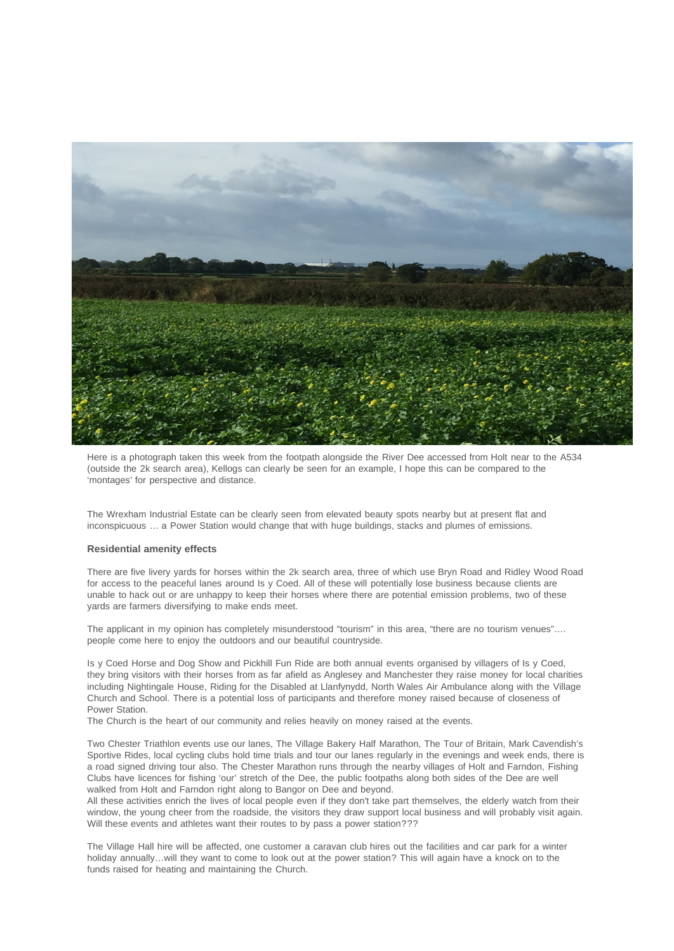

Here is a photograph taken this week from the footpath alongside the River Dee accessed from Holt near to the A534 (outside the 2k search area), Kellogs can clearly be seen for an example, I hope this can be compared to the 'montages' for perspective and distance.

The Wrexham Industrial Estate can be clearly seen from elevated beauty spots nearby but at present flat and inconspicuous … a Power Station would change that with huge buildings, stacks and plumes of emissions.

### **Residential amenity effects**

There are five livery yards for horses within the 2k search area, three of which use Bryn Road and Ridley Wood Road for access to the peaceful lanes around Is y Coed. All of these will potentially lose business because clients are unable to hack out or are unhappy to keep their horses where there are potential emission problems, two of these yards are farmers diversifying to make ends meet.

The applicant in my opinion has completely misunderstood "tourism" in this area, "there are no tourism venues"…. people come here to enjoy the outdoors and our beautiful countryside.

Is y Coed Horse and Dog Show and Pickhill Fun Ride are both annual events organised by villagers of Is y Coed, they bring visitors with their horses from as far afield as Anglesey and Manchester they raise money for local charities including Nightingale House, Riding for the Disabled at Llanfynydd, North Wales Air Ambulance along with the Village Church and School. There is a potential loss of participants and therefore money raised because of closeness of Power Station.

The Church is the heart of our community and relies heavily on money raised at the events.

Two Chester Triathlon events use our lanes, The Village Bakery Half Marathon, The Tour of Britain, Mark Cavendish's Sportive Rides, local cycling clubs hold time trials and tour our lanes regularly in the evenings and week ends, there is a road signed driving tour also. The Chester Marathon runs through the nearby villages of Holt and Farndon, Fishing Clubs have licences for fishing 'our' stretch of the Dee, the public footpaths along both sides of the Dee are well walked from Holt and Farndon right along to Bangor on Dee and beyond.

All these activities enrich the lives of local people even if they don't take part themselves, the elderly watch from their window, the young cheer from the roadside, the visitors they draw support local business and will probably visit again. Will these events and athletes want their routes to by pass a power station???

The Village Hall hire will be affected, one customer a caravan club hires out the facilities and car park for a winter holiday annually...will they want to come to look out at the power station? This will again have a knock on to the funds raised for heating and maintaining the Church.